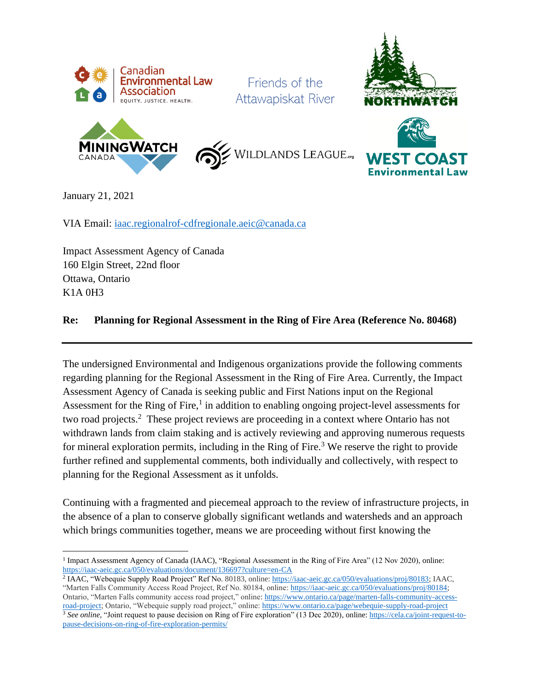

Friends of the Attawapiskat River







January 21, 2021

VIA Email: [iaac.regionalrof-cdfregionale.aeic@canada.ca](mailto:iaac.regionalrof-cdfregionale.aeic@canada.ca)

Impact Assessment Agency of Canada 160 Elgin Street, 22nd floor Ottawa, Ontario K1A 0H3

#### **Re: Planning for Regional Assessment in the Ring of Fire Area (Reference No. 80468)**

The undersigned Environmental and Indigenous organizations provide the following comments regarding planning for the Regional Assessment in the Ring of Fire Area. Currently, the Impact Assessment Agency of Canada is seeking public and First Nations input on the Regional Assessment for the Ring of Fire, $<sup>1</sup>$  in addition to enabling ongoing project-level assessments for</sup> two road projects.<sup>2</sup> These project reviews are proceeding in a context where Ontario has not withdrawn lands from claim staking and is actively reviewing and approving numerous requests for mineral exploration permits, including in the Ring of Fire. <sup>3</sup> We reserve the right to provide further refined and supplemental comments, both individually and collectively, with respect to planning for the Regional Assessment as it unfolds.

Continuing with a fragmented and piecemeal approach to the review of infrastructure projects, in the absence of a plan to conserve globally significant wetlands and watersheds and an approach which brings communities together, means we are proceeding without first knowing the

<sup>&</sup>lt;sup>1</sup> Impact Assessment Agency of Canada (IAAC), "Regional Assessment in the Ring of Fire Area" (12 Nov 2020), online: <https://iaac-aeic.gc.ca/050/evaluations/document/136697?culture=en-CA>

<sup>&</sup>lt;sup>2</sup> IAAC, "Webequie Supply Road Project" Ref No. 80183, online[: https://iaac-aeic.gc.ca/050/evaluations/proj/80183;](https://iaac-aeic.gc.ca/050/evaluations/proj/80183) IAAC, "Marten Falls Community Access Road Project, Ref No. 80184, online: [https://iaac-aeic.gc.ca/050/evaluations/proj/80184;](https://iaac-aeic.gc.ca/050/evaluations/proj/80184) Ontario, "Marten Falls community access road project," online[: https://www.ontario.ca/page/marten-falls-community-access-](https://www.ontario.ca/page/marten-falls-community-access-road-project)

[road-project;](https://www.ontario.ca/page/marten-falls-community-access-road-project) Ontario, "Webequie supply road project," online[: https://www.ontario.ca/page/webequie-supply-road-project](https://www.ontario.ca/page/webequie-supply-road-project) <sup>3</sup> *See online,* "Joint request to pause decision on Ring of Fire exploration" (13 Dec 2020), online: [https://cela.ca/joint-request-to](https://cela.ca/joint-request-to-pause-decisions-on-ring-of-fire-exploration-permits/)[pause-decisions-on-ring-of-fire-exploration-permits/](https://cela.ca/joint-request-to-pause-decisions-on-ring-of-fire-exploration-permits/)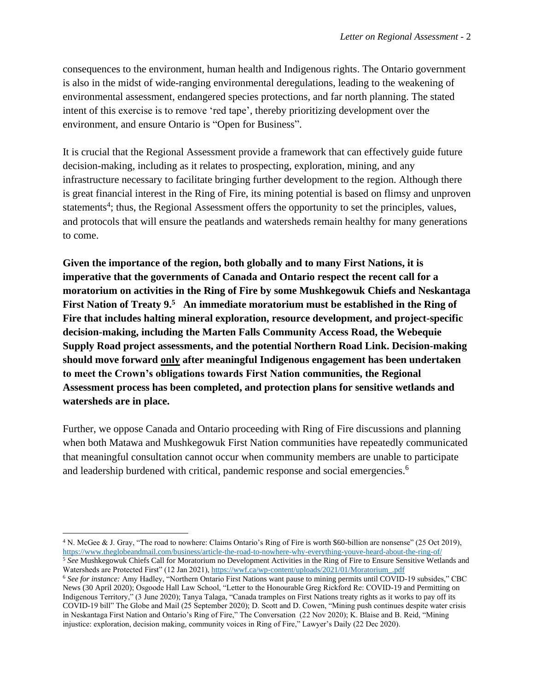consequences to the environment, human health and Indigenous rights. The Ontario government is also in the midst of wide-ranging environmental deregulations, leading to the weakening of environmental assessment, endangered species protections, and far north planning. The stated intent of this exercise is to remove 'red tape', thereby prioritizing development over the environment, and ensure Ontario is "Open for Business".

It is crucial that the Regional Assessment provide a framework that can effectively guide future decision-making, including as it relates to prospecting, exploration, mining, and any infrastructure necessary to facilitate bringing further development to the region. Although there is great financial interest in the Ring of Fire, its mining potential is based on flimsy and unproven statements<sup>4</sup>; thus, the Regional Assessment offers the opportunity to set the principles, values, and protocols that will ensure the peatlands and watersheds remain healthy for many generations to come.

**Given the importance of the region, both globally and to many First Nations, it is imperative that the governments of Canada and Ontario respect the recent call for a moratorium on activities in the Ring of Fire by some Mushkegowuk Chiefs and Neskantaga First Nation of Treaty 9.<sup>5</sup> An immediate moratorium must be established in the Ring of Fire that includes halting mineral exploration, resource development, and project-specific decision-making, including the Marten Falls Community Access Road, the Webequie Supply Road project assessments, and the potential Northern Road Link. Decision-making should move forward only after meaningful Indigenous engagement has been undertaken to meet the Crown's obligations towards First Nation communities, the Regional Assessment process has been completed, and protection plans for sensitive wetlands and watersheds are in place.**

Further, we oppose Canada and Ontario proceeding with Ring of Fire discussions and planning when both Matawa and Mushkegowuk First Nation communities have repeatedly communicated that meaningful consultation cannot occur when community members are unable to participate and leadership burdened with critical, pandemic response and social emergencies.<sup>6</sup>

<sup>4</sup> N. McGee & J. Gray, "The road to nowhere: Claims Ontario's Ring of Fire is worth \$60-billion are nonsense" (25 Oct 2019), <https://www.theglobeandmail.com/business/article-the-road-to-nowhere-why-everything-youve-heard-about-the-ring-of/>

<sup>5</sup> *See* Mushkegowuk Chiefs Call for Moratorium no Development Activities in the Ring of Fire to Ensure Sensitive Wetlands and Watersheds are Protected First" (12 Jan 2021)[, https://wwf.ca/wp-content/uploads/2021/01/Moratorium\\_.pdf](https://wwf.ca/wp-content/uploads/2021/01/Moratorium_.pdf) <sup>6</sup> *See for instance:* Amy Hadley, "Northern Ontario First Nations want pause to mining permits until COVID-19 subsides," CBC News (30 April 2020); Osgoode Hall Law School, "Letter to the Honourable Greg Rickford Re: COVID-19 and Permitting on Indigenous Territory," (3 June 2020); Tanya Talaga, "Canada tramples on First Nations treaty rights as it works to pay off its

COVID-19 bill" The Globe and Mail (25 September 2020); D. Scott and D. Cowen, "Mining push continues despite water crisis in Neskantaga First Nation and Ontario's Ring of Fire," The Conversation (22 Nov 2020); K. Blaise and B. Reid, "Mining injustice: exploration, decision making, community voices in Ring of Fire," Lawyer's Daily (22 Dec 2020).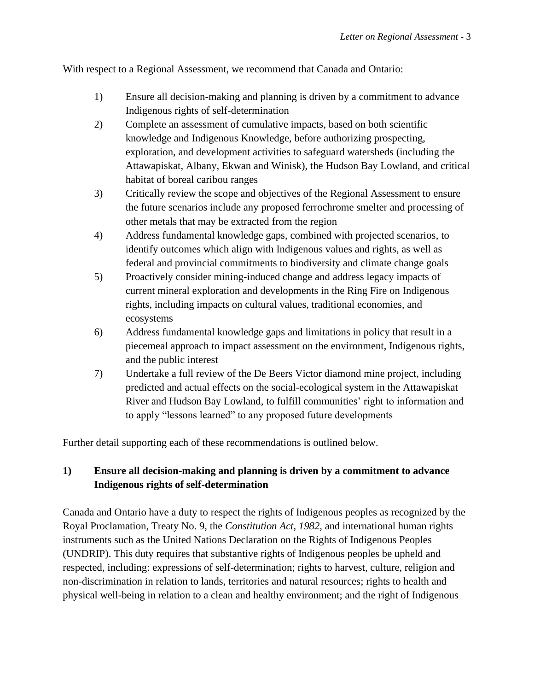With respect to a Regional Assessment, we recommend that Canada and Ontario:

- 1) Ensure all decision-making and planning is driven by a commitment to advance Indigenous rights of self-determination
- 2) Complete an assessment of cumulative impacts, based on both scientific knowledge and Indigenous Knowledge, before authorizing prospecting, exploration, and development activities to safeguard watersheds (including the Attawapiskat, Albany, Ekwan and Winisk), the Hudson Bay Lowland, and critical habitat of boreal caribou ranges
- 3) Critically review the scope and objectives of the Regional Assessment to ensure the future scenarios include any proposed ferrochrome smelter and processing of other metals that may be extracted from the region
- 4) Address fundamental knowledge gaps, combined with projected scenarios, to identify outcomes which align with Indigenous values and rights, as well as federal and provincial commitments to biodiversity and climate change goals
- 5) Proactively consider mining-induced change and address legacy impacts of current mineral exploration and developments in the Ring Fire on Indigenous rights, including impacts on cultural values, traditional economies, and ecosystems
- 6) Address fundamental knowledge gaps and limitations in policy that result in a piecemeal approach to impact assessment on the environment, Indigenous rights, and the public interest
- 7) Undertake a full review of the De Beers Victor diamond mine project, including predicted and actual effects on the social-ecological system in the Attawapiskat River and Hudson Bay Lowland, to fulfill communities' right to information and to apply "lessons learned" to any proposed future developments

Further detail supporting each of these recommendations is outlined below.

## **1) Ensure all decision-making and planning is driven by a commitment to advance Indigenous rights of self-determination**

Canada and Ontario have a duty to respect the rights of Indigenous peoples as recognized by the Royal Proclamation, Treaty No. 9, the *Constitution Act, 1982,* and international human rights instruments such as the United Nations Declaration on the Rights of Indigenous Peoples (UNDRIP). This duty requires that substantive rights of Indigenous peoples be upheld and respected, including: expressions of self-determination; rights to harvest, culture, religion and non-discrimination in relation to lands, territories and natural resources; rights to health and physical well-being in relation to a clean and healthy environment; and the right of Indigenous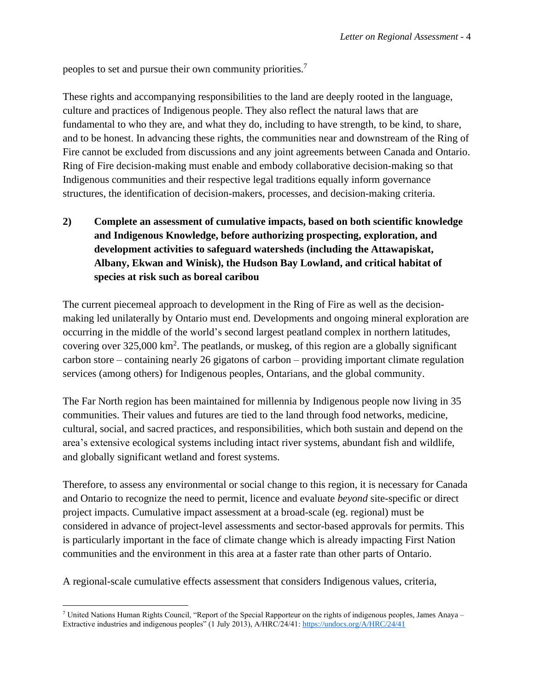peoples to set and pursue their own community priorities.<sup>7</sup>

These rights and accompanying responsibilities to the land are deeply rooted in the language, culture and practices of Indigenous people. They also reflect the natural laws that are fundamental to who they are, and what they do, including to have strength, to be kind, to share, and to be honest. In advancing these rights, the communities near and downstream of the Ring of Fire cannot be excluded from discussions and any joint agreements between Canada and Ontario. Ring of Fire decision-making must enable and embody collaborative decision-making so that Indigenous communities and their respective legal traditions equally inform governance structures, the identification of decision-makers, processes, and decision-making criteria.

**2) Complete an assessment of cumulative impacts, based on both scientific knowledge and Indigenous Knowledge, before authorizing prospecting, exploration, and development activities to safeguard watersheds (including the Attawapiskat, Albany, Ekwan and Winisk), the Hudson Bay Lowland, and critical habitat of species at risk such as boreal caribou** 

The current piecemeal approach to development in the Ring of Fire as well as the decisionmaking led unilaterally by Ontario must end. Developments and ongoing mineral exploration are occurring in the middle of the world's second largest peatland complex in northern latitudes, covering over  $325,000 \text{ km}^2$ . The peatlands, or muskeg, of this region are a globally significant carbon store – containing nearly 26 gigatons of carbon – providing important climate regulation services (among others) for Indigenous peoples, Ontarians, and the global community.

The Far North region has been maintained for millennia by Indigenous people now living in 35 communities. Their values and futures are tied to the land through food networks, medicine, cultural, social, and sacred practices, and responsibilities, which both sustain and depend on the area's extensive ecological systems including intact river systems, abundant fish and wildlife, and globally significant wetland and forest systems.

Therefore, to assess any environmental or social change to this region, it is necessary for Canada and Ontario to recognize the need to permit, licence and evaluate *beyond* site-specific or direct project impacts. Cumulative impact assessment at a broad-scale (eg. regional) must be considered in advance of project-level assessments and sector-based approvals for permits. This is particularly important in the face of climate change which is already impacting First Nation communities and the environment in this area at a faster rate than other parts of Ontario.

A regional-scale cumulative effects assessment that considers Indigenous values, criteria,

<sup>7</sup> United Nations Human Rights Council, "Report of the Special Rapporteur on the rights of indigenous peoples, James Anaya – Extractive industries and indigenous peoples" (1 July 2013), A/HRC/24/41:<https://undocs.org/A/HRC/24/41>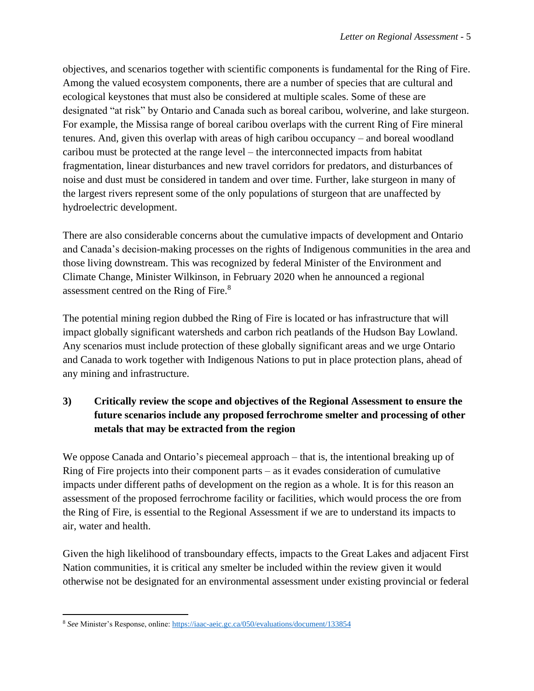objectives, and scenarios together with scientific components is fundamental for the Ring of Fire. Among the valued ecosystem components, there are a number of species that are cultural and ecological keystones that must also be considered at multiple scales. Some of these are designated "at risk" by Ontario and Canada such as boreal caribou, wolverine, and lake sturgeon. For example, the Missisa range of boreal caribou overlaps with the current Ring of Fire mineral tenures. And, given this overlap with areas of high caribou occupancy – and boreal woodland caribou must be protected at the range level – the interconnected impacts from habitat fragmentation, linear disturbances and new travel corridors for predators, and disturbances of noise and dust must be considered in tandem and over time. Further, lake sturgeon in many of the largest rivers represent some of the only populations of sturgeon that are unaffected by hydroelectric development.

There are also considerable concerns about the cumulative impacts of development and Ontario and Canada's decision-making processes on the rights of Indigenous communities in the area and those living downstream. This was recognized by federal Minister of the Environment and Climate Change, Minister Wilkinson, in February 2020 when he announced a regional assessment centred on the Ring of Fire.<sup>8</sup>

The potential mining region dubbed the Ring of Fire is located or has infrastructure that will impact globally significant watersheds and carbon rich peatlands of the Hudson Bay Lowland. Any scenarios must include protection of these globally significant areas and we urge Ontario and Canada to work together with Indigenous Nations to put in place protection plans, ahead of any mining and infrastructure.

# **3) Critically review the scope and objectives of the Regional Assessment to ensure the future scenarios include any proposed ferrochrome smelter and processing of other metals that may be extracted from the region**

We oppose Canada and Ontario's piecemeal approach – that is, the intentional breaking up of Ring of Fire projects into their component parts – as it evades consideration of cumulative impacts under different paths of development on the region as a whole. It is for this reason an assessment of the proposed ferrochrome facility or facilities, which would process the ore from the Ring of Fire, is essential to the Regional Assessment if we are to understand its impacts to air, water and health.

Given the high likelihood of transboundary effects, impacts to the Great Lakes and adjacent First Nation communities, it is critical any smelter be included within the review given it would otherwise not be designated for an environmental assessment under existing provincial or federal

<sup>8</sup> *See* Minister's Response, online[: https://iaac-aeic.gc.ca/050/evaluations/document/133854](https://iaac-aeic.gc.ca/050/evaluations/document/133854)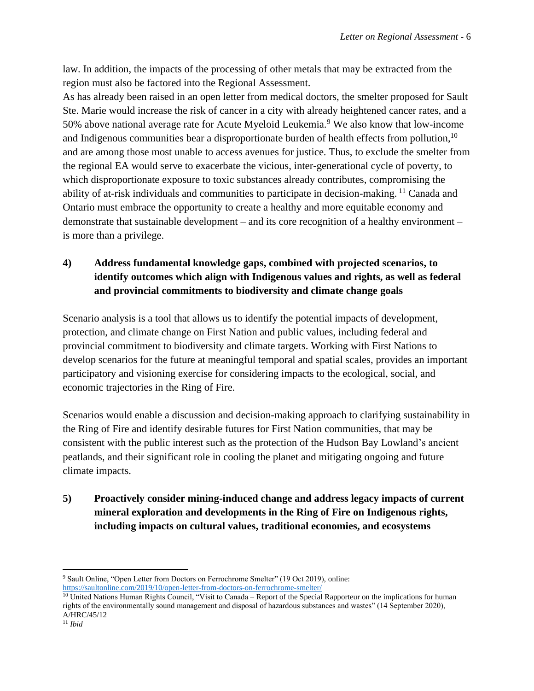law. In addition, the impacts of the processing of other metals that may be extracted from the region must also be factored into the Regional Assessment.

As has already been raised in an open letter from medical doctors, the smelter proposed for Sault Ste. Marie would increase the risk of cancer in a city with already heightened cancer rates, and a 50% above national average rate for Acute Myeloid Leukemia.<sup>9</sup> We also know that low-income and Indigenous communities bear a disproportionate burden of health effects from pollution,<sup>10</sup> and are among those most unable to access avenues for justice. Thus, to exclude the smelter from the regional EA would serve to exacerbate the vicious, inter-generational cycle of poverty, to which disproportionate exposure to toxic substances already contributes, compromising the ability of at-risk individuals and communities to participate in decision-making.<sup>11</sup> Canada and Ontario must embrace the opportunity to create a healthy and more equitable economy and demonstrate that sustainable development – and its core recognition of a healthy environment – is more than a privilege.

# **4) Address fundamental knowledge gaps, combined with projected scenarios, to identify outcomes which align with Indigenous values and rights, as well as federal and provincial commitments to biodiversity and climate change goals**

Scenario analysis is a tool that allows us to identify the potential impacts of development, protection, and climate change on First Nation and public values, including federal and provincial commitment to biodiversity and climate targets. Working with First Nations to develop scenarios for the future at meaningful temporal and spatial scales, provides an important participatory and visioning exercise for considering impacts to the ecological, social, and economic trajectories in the Ring of Fire.

Scenarios would enable a discussion and decision-making approach to clarifying sustainability in the Ring of Fire and identify desirable futures for First Nation communities, that may be consistent with the public interest such as the protection of the Hudson Bay Lowland's ancient peatlands, and their significant role in cooling the planet and mitigating ongoing and future climate impacts.

**5) Proactively consider mining-induced change and address legacy impacts of current mineral exploration and developments in the Ring of Fire on Indigenous rights, including impacts on cultural values, traditional economies, and ecosystems**

<sup>9</sup> Sault Online, "Open Letter from Doctors on Ferrochrome Smelter" (19 Oct 2019), online:

<https://saultonline.com/2019/10/open-letter-from-doctors-on-ferrochrome-smelter/>

<sup>&</sup>lt;sup>10</sup> United Nations Human Rights Council, "Visit to Canada – Report of the Special Rapporteur on the implications for human rights of the environmentally sound management and disposal of hazardous substances and wastes" (14 September 2020), A/HRC/45/12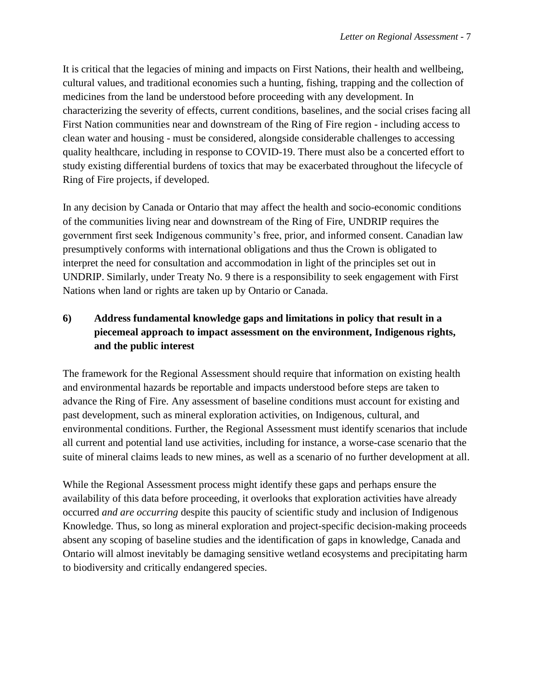It is critical that the legacies of mining and impacts on First Nations, their health and wellbeing, cultural values, and traditional economies such a hunting, fishing, trapping and the collection of medicines from the land be understood before proceeding with any development. In characterizing the severity of effects, current conditions, baselines, and the social crises facing all First Nation communities near and downstream of the Ring of Fire region - including access to clean water and housing - must be considered, alongside considerable challenges to accessing quality healthcare, including in response to COVID-19. There must also be a concerted effort to study existing differential burdens of toxics that may be exacerbated throughout the lifecycle of Ring of Fire projects, if developed.

In any decision by Canada or Ontario that may affect the health and socio-economic conditions of the communities living near and downstream of the Ring of Fire, UNDRIP requires the government first seek Indigenous community's free, prior, and informed consent. Canadian law presumptively conforms with international obligations and thus the Crown is obligated to interpret the need for consultation and accommodation in light of the principles set out in UNDRIP. Similarly, under Treaty No. 9 there is a responsibility to seek engagement with First Nations when land or rights are taken up by Ontario or Canada.

## **6) Address fundamental knowledge gaps and limitations in policy that result in a piecemeal approach to impact assessment on the environment, Indigenous rights, and the public interest**

The framework for the Regional Assessment should require that information on existing health and environmental hazards be reportable and impacts understood before steps are taken to advance the Ring of Fire. Any assessment of baseline conditions must account for existing and past development, such as mineral exploration activities, on Indigenous, cultural, and environmental conditions. Further, the Regional Assessment must identify scenarios that include all current and potential land use activities, including for instance, a worse-case scenario that the suite of mineral claims leads to new mines, as well as a scenario of no further development at all.

While the Regional Assessment process might identify these gaps and perhaps ensure the availability of this data before proceeding, it overlooks that exploration activities have already occurred *and are occurring* despite this paucity of scientific study and inclusion of Indigenous Knowledge. Thus, so long as mineral exploration and project-specific decision-making proceeds absent any scoping of baseline studies and the identification of gaps in knowledge, Canada and Ontario will almost inevitably be damaging sensitive wetland ecosystems and precipitating harm to biodiversity and critically endangered species.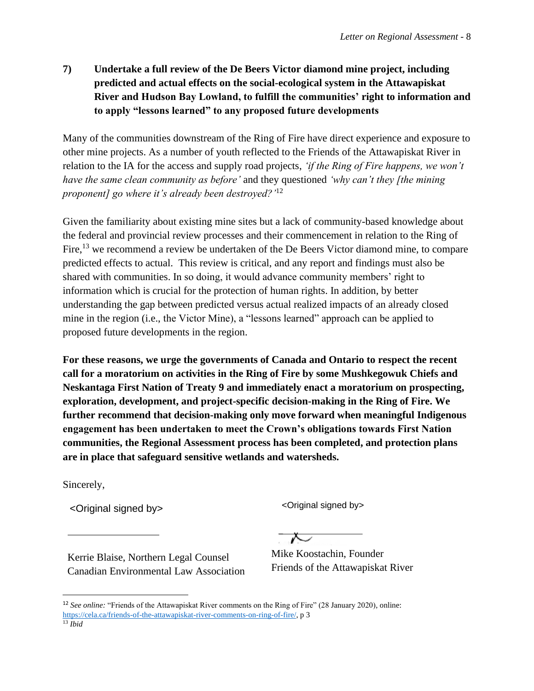**7) Undertake a full review of the De Beers Victor diamond mine project, including predicted and actual effects on the social-ecological system in the Attawapiskat River and Hudson Bay Lowland, to fulfill the communities' right to information and to apply "lessons learned" to any proposed future developments**

Many of the communities downstream of the Ring of Fire have direct experience and exposure to other mine projects. As a number of youth reflected to the Friends of the Attawapiskat River in relation to the IA for the access and supply road projects, *'if the Ring of Fire happens, we won't have the same clean community as before'* and they questioned *'why can't they [the mining proponent] go where it's already been destroyed?'*<sup>12</sup>

Given the familiarity about existing mine sites but a lack of community-based knowledge about the federal and provincial review processes and their commencement in relation to the Ring of Fire,  $^{13}$  we recommend a review be undertaken of the De Beers Victor diamond mine, to compare predicted effects to actual. This review is critical, and any report and findings must also be shared with communities. In so doing, it would advance community members' right to information which is crucial for the protection of human rights. In addition, by better understanding the gap between predicted versus actual realized impacts of an already closed mine in the region (i.e., the Victor Mine), a "lessons learned" approach can be applied to proposed future developments in the region.

**For these reasons, we urge the governments of Canada and Ontario to respect the recent call for a moratorium on activities in the Ring of Fire by some Mushkegowuk Chiefs and Neskantaga First Nation of Treaty 9 and immediately enact a moratorium on prospecting, exploration, development, and project-specific decision-making in the Ring of Fire. We further recommend that decision-making only move forward when meaningful Indigenous engagement has been undertaken to meet the Crown's obligations towards First Nation communities, the Regional Assessment process has been completed, and protection plans are in place that safeguard sensitive wetlands and watersheds.** 

Sincerely,

<Original signed by> <Original signed by>

 $\overline{\smash{\sim}}$ 

Kerrie Blaise, Northern Legal Counsel Canadian Environmental Law Association

Mike Koostachin, Founder Friends of the Attawapiskat River

<sup>12</sup> *See online:* "Friends of the Attawapiskat River comments on the Ring of Fire" (28 January 2020), online: [https://cela.ca/friends-of-the-attawapiskat-river-comments-on-ring-of-fire/,](https://cela.ca/friends-of-the-attawapiskat-river-comments-on-ring-of-fire/) p 3

<sup>13</sup> *Ibid*